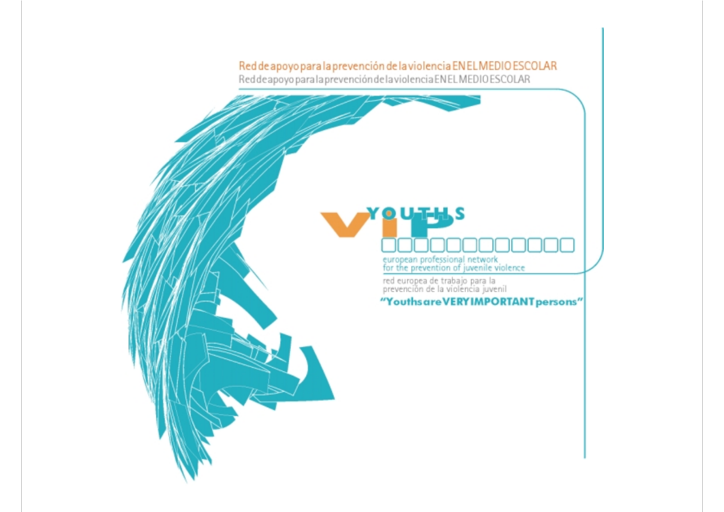### Red de apoyo para la prevención de la violencia EN ELMEDIO ESCOLAR

Reddeapoyo para la prevención de la violencia ENELMEDIO ESCOLAR

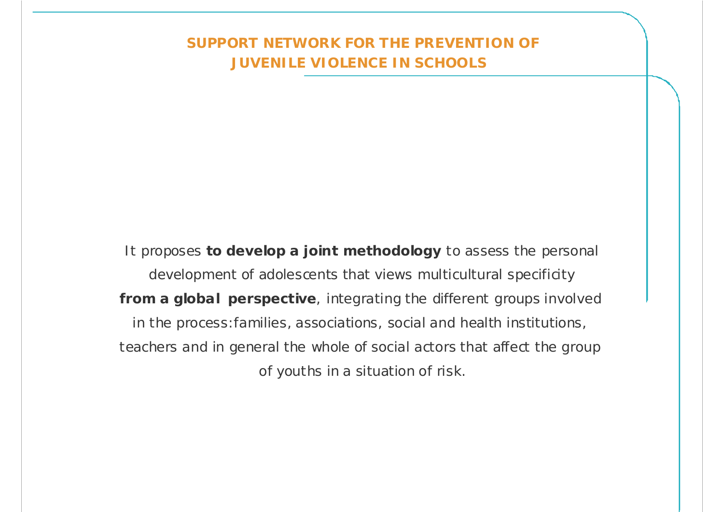### **SUPPORT NETWORK FOR THE PREVENTION OF JUVENILE VIOLENCE IN SCHOOLS**

It proposes **to develop a joint methodology** to assess the personal development of adolescents that views multicultural specificity **from a global perspective**, integrating the different groups involved in the process:families, associations, social and health institutions, teachers and in general the whole of social actors that affect the group of youths in a situation of risk.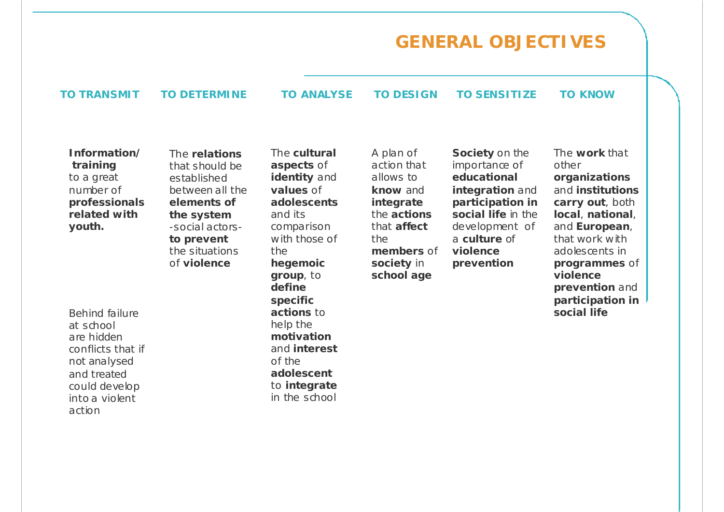# **GENERAL OBJECTIVES**

The **cultural aspects** of

#### **TO TRANSMIT TO DETERMINE TO ANALYSE TO DESIGN TO SENSITIZE TO KNOW**

**Information/training** to a great number of **professionals related withyouth.**

The **relations**that should be established between all the **elements of the system** -social actors**to prevent** the situations of **violence**

Behind failure at schoolare hidden conflicts that if not analysed and treated could develop into a violent action

**identity** and **values** of **adolescents**and its comparison with those of the **hegemoic group**, to **definespecific actions** to help the **motivation**and **interest**of the **adolescent**to **integrate** in the school

A plan of action that allows to **know** and **integrate** the **actions**that **affect**the **members** of **society** in **school age**

**Society** on the importance of **educational integration** and **participation in social life** in the development of a **culture** of **violence prevention**

The **work** that other **organizations** and **institutionscarry out**, both **local**, **national**, and **European**, that work with adolescents in **programmes** of **violenceprevention** and **participation in social life**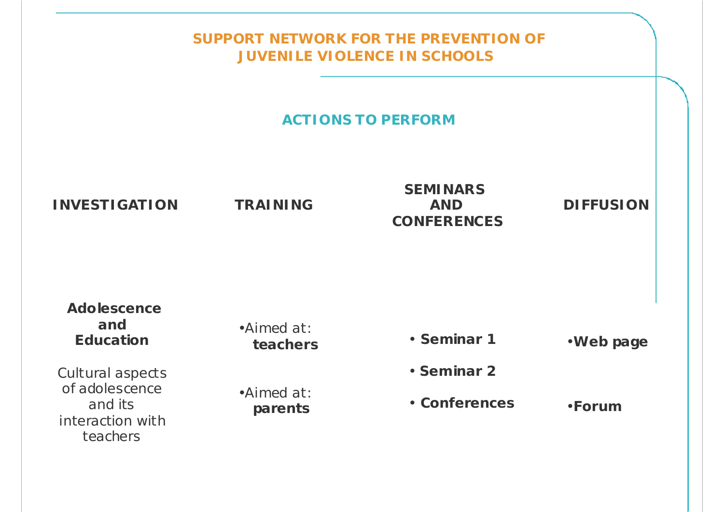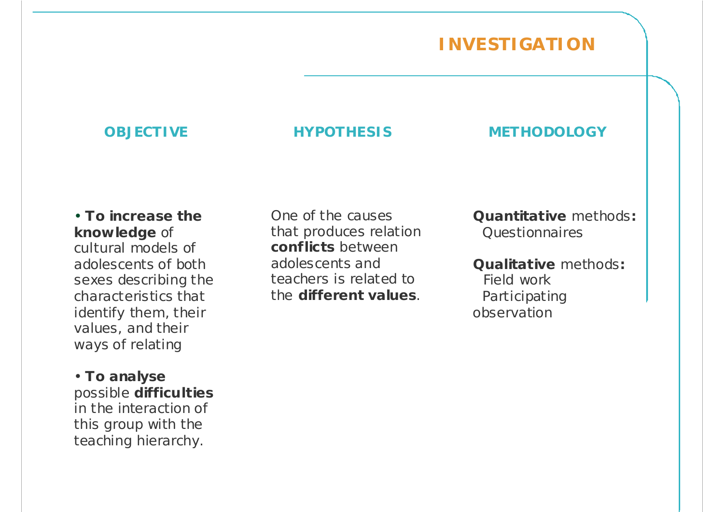### **INVESTIGATION**

#### **OBJECTIVE HYPOTHESIS METHODOLOGY**

• **To increase the knowledge** of cultural models of adolescents of both sexes describing the characteristics that identify them, their values, and their ways of relating

• **To analyse** possible **difficulties** in the interaction of this group with the teaching hierarchy.

One of the causesthat produces relation **conflicts** betweenadolescents and teachers is related tothe **different values**.

**Quantitative** methods**:** Questionnaires

**Qualitative** methods**:** Field workParticipating observation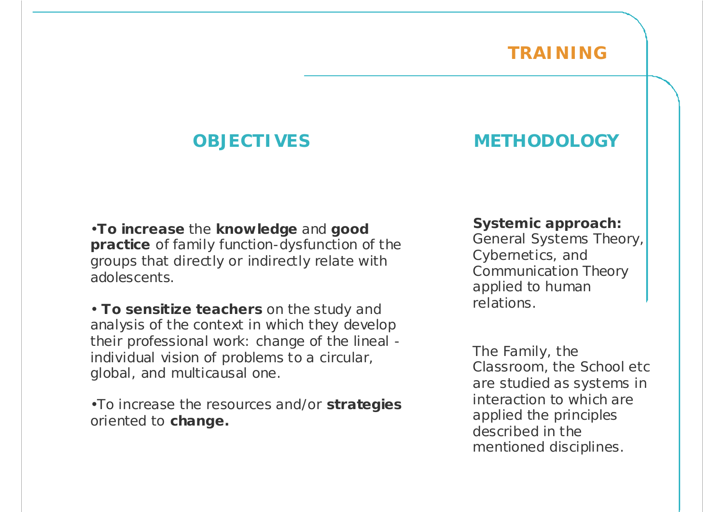### **TRAINING**

#### •**To increase** the **knowledge** and **good practice** of family function-dysfunction of the groups that directly or indirectly relate with adolescents.

• **To sensitize teachers** on the study and analysis of the context in which they develop their professional work: change of the lineal individual vision of problems to a circular, global, and multicausal one.

•To increase the resources and/or **strategies** oriented to **change.**

### **OBJECTIVES METHODOLOGY**

#### **Systemic approach:**

General Systems Theory, Cybernetics, and Communication Theory applied to human relations.

The Family, the Classroom, the School etc are studied as systems in interaction to which are applied the principles described in the mentioned disciplines.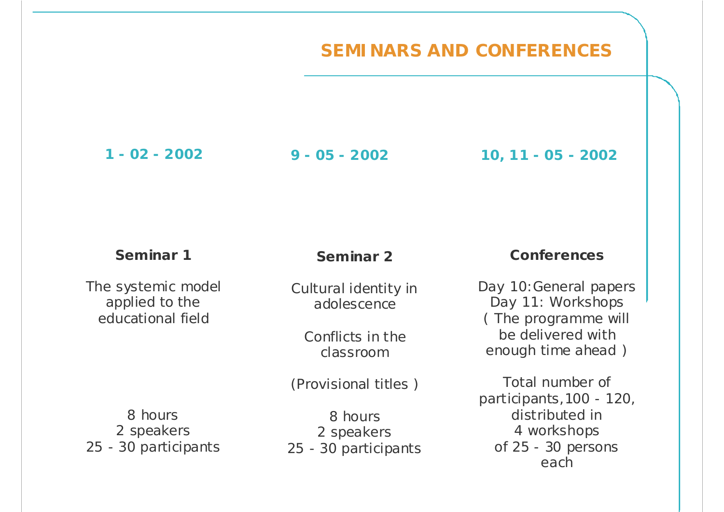### **SEMINARS AND CONFERENCES**

**1 - 02 - 2002**

**9 - 05 - 2002 10, 11 - 05 - 2002**

#### **Seminar 1**

The systemic model applied to the educational field

### **Seminar 2**

Cultural identity in adolescence

Conflicts in the classroom

(Provisional titles )

8 hours2 speakers 25 - 30 participants

8 hours2 speakers 25 - 30 participants

#### **Conferences**

Day 10:General papers Day 11: Workshops ( The programme will be delivered withenough time ahead )

Total number of participants,100 - 120, distributed in 4 workshops of 25 - 30 persons each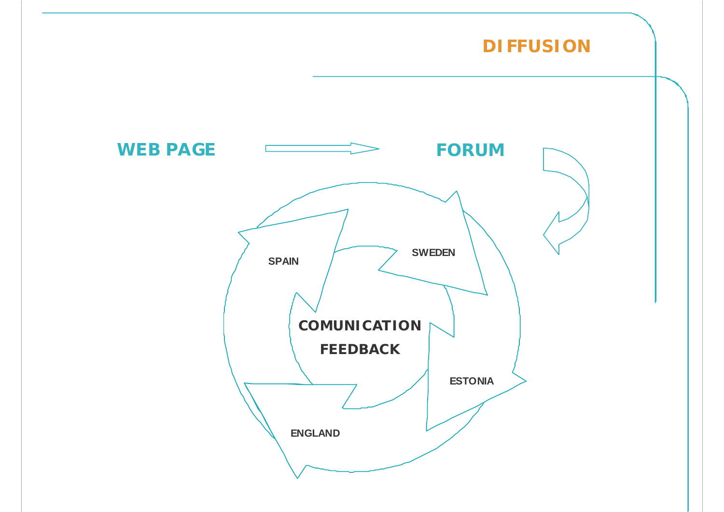